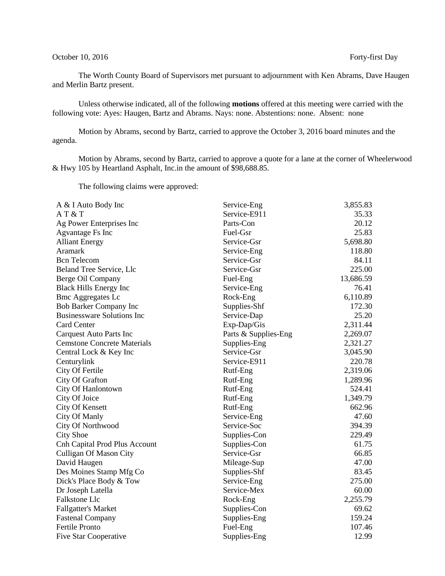## October 10, 2016 Forty-first Day

The Worth County Board of Supervisors met pursuant to adjournment with Ken Abrams, Dave Haugen and Merlin Bartz present.

Unless otherwise indicated, all of the following **motions** offered at this meeting were carried with the following vote: Ayes: Haugen, Bartz and Abrams. Nays: none. Abstentions: none. Absent: none

Motion by Abrams, second by Bartz, carried to approve the October 3, 2016 board minutes and the agenda.

Motion by Abrams, second by Bartz, carried to approve a quote for a lane at the corner of Wheelerwood & Hwy 105 by Heartland Asphalt, Inc.in the amount of \$98,688.85.

The following claims were approved:

| A & I Auto Body Inc                  | Service-Eng          | 3,855.83  |
|--------------------------------------|----------------------|-----------|
| AT&T                                 | Service-E911         | 35.33     |
| Ag Power Enterprises Inc             | Parts-Con            | 20.12     |
| <b>Agvantage Fs Inc</b>              | Fuel-Gsr             | 25.83     |
| <b>Alliant Energy</b>                | Service-Gsr          | 5,698.80  |
| Aramark                              | Service-Eng          | 118.80    |
| <b>Bcn</b> Telecom                   | Service-Gsr          | 84.11     |
| Beland Tree Service, Llc             | Service-Gsr          | 225.00    |
| Berge Oil Company                    | Fuel-Eng             | 13,686.59 |
| <b>Black Hills Energy Inc</b>        | Service-Eng          | 76.41     |
| <b>Bmc Aggregates Lc</b>             | Rock-Eng             | 6,110.89  |
| <b>Bob Barker Company Inc</b>        | Supplies-Shf         | 172.30    |
| <b>Businessware Solutions Inc</b>    | Service-Dap          | 25.20     |
| <b>Card Center</b>                   | Exp-Dap/Gis          | 2,311.44  |
| <b>Carquest Auto Parts Inc</b>       | Parts & Supplies-Eng | 2,269.07  |
| <b>Cemstone Concrete Materials</b>   | Supplies-Eng         | 2,321.27  |
| Central Lock & Key Inc               | Service-Gsr          | 3,045.90  |
| Centurylink                          | Service-E911         | 220.78    |
| City Of Fertile                      | Rutf-Eng             | 2,319.06  |
| City Of Grafton                      | Rutf-Eng             | 1,289.96  |
| City Of Hanlontown                   | Rutf-Eng             | 524.41    |
| City Of Joice                        | Rutf-Eng             | 1,349.79  |
| City Of Kensett                      | Rutf-Eng             | 662.96    |
| City Of Manly                        | Service-Eng          | 47.60     |
| City Of Northwood                    | Service-Soc          | 394.39    |
| <b>City Shoe</b>                     | Supplies-Con         | 229.49    |
| <b>Cnh Capital Prod Plus Account</b> | Supplies-Con         | 61.75     |
| <b>Culligan Of Mason City</b>        | Service-Gsr          | 66.85     |
| David Haugen                         | Mileage-Sup          | 47.00     |
| Des Moines Stamp Mfg Co              | Supplies-Shf         | 83.45     |
| Dick's Place Body & Tow              | Service-Eng          | 275.00    |
| Dr Joseph Latella                    | Service-Mex          | 60.00     |
| Falkstone Llc                        | Rock-Eng             | 2,255.79  |
| <b>Fallgatter's Market</b>           | Supplies-Con         | 69.62     |
| <b>Fastenal Company</b>              | Supplies-Eng         | 159.24    |
| Fertile Pronto                       | Fuel-Eng             | 107.46    |
| <b>Five Star Cooperative</b>         | Supplies-Eng         | 12.99     |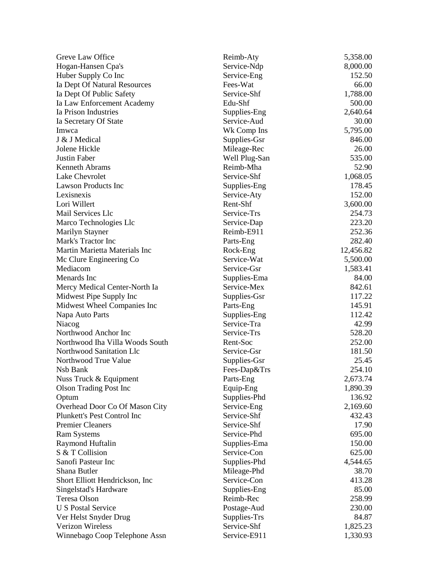| Greve Law Office                | Reimb-Aty     | 5,358.00  |
|---------------------------------|---------------|-----------|
| Hogan-Hansen Cpa's              | Service-Ndp   | 8,000.00  |
| Huber Supply Co Inc             | Service-Eng   | 152.50    |
| Ia Dept Of Natural Resources    | Fees-Wat      | 66.00     |
| Ia Dept Of Public Safety        | Service-Shf   | 1,788.00  |
| Ia Law Enforcement Academy      | Edu-Shf       | 500.00    |
| Ia Prison Industries            | Supplies-Eng  | 2,640.64  |
| Ia Secretary Of State           | Service-Aud   | 30.00     |
| Imwca                           | Wk Comp Ins   | 5,795.00  |
| J & J Medical                   | Supplies-Gsr  | 846.00    |
| Jolene Hickle                   | Mileage-Rec   | 26.00     |
| Justin Faber                    | Well Plug-San | 535.00    |
| <b>Kenneth Abrams</b>           | Reimb-Mha     | 52.90     |
| Lake Chevrolet                  | Service-Shf   | 1,068.05  |
| <b>Lawson Products Inc</b>      | Supplies-Eng  | 178.45    |
| Lexisnexis                      | Service-Aty   | 152.00    |
| Lori Willert                    | Rent-Shf      | 3,600.00  |
| Mail Services Llc               | Service-Trs   | 254.73    |
| Marco Technologies Llc          | Service-Dap   | 223.20    |
| Marilyn Stayner                 | Reimb-E911    | 252.36    |
| Mark's Tractor Inc              | Parts-Eng     | 282.40    |
| Martin Marietta Materials Inc   | Rock-Eng      | 12,456.82 |
| Mc Clure Engineering Co         | Service-Wat   | 5,500.00  |
| Mediacom                        | Service-Gsr   | 1,583.41  |
| Menards Inc                     | Supplies-Ema  | 84.00     |
| Mercy Medical Center-North Ia   | Service-Mex   | 842.61    |
| Midwest Pipe Supply Inc         | Supplies-Gsr  | 117.22    |
| Midwest Wheel Companies Inc     | Parts-Eng     | 145.91    |
| Napa Auto Parts                 | Supplies-Eng  | 112.42    |
| Niacog                          | Service-Tra   | 42.99     |
| Northwood Anchor Inc            | Service-Trs   | 528.20    |
| Northwood Iha Villa Woods South | Rent-Soc      | 252.00    |
| Northwood Sanitation Llc        | Service-Gsr   | 181.50    |
| Northwood True Value            | Supplies-Gsr  | 25.45     |
| Nsb Bank                        | Fees-Dap&Trs  | 254.10    |
| Nuss Truck & Equipment          | Parts-Eng     | 2,673.74  |
| <b>Olson Trading Post Inc</b>   | Equip-Eng     | 1,890.39  |
| Optum                           | Supplies-Phd  | 136.92    |
| Overhead Door Co Of Mason City  | Service-Eng   | 2,169.60  |
| Plunkett's Pest Control Inc     | Service-Shf   | 432.43    |
| <b>Premier Cleaners</b>         | Service-Shf   | 17.90     |
| <b>Ram Systems</b>              | Service-Phd   | 695.00    |
| Raymond Huftalin                | Supplies-Ema  | 150.00    |
| S & T Collision                 | Service-Con   | 625.00    |
| Sanofi Pasteur Inc              | Supplies-Phd  | 4,544.65  |
| Shana Butler                    | Mileage-Phd   | 38.70     |
| Short Elliott Hendrickson, Inc. | Service-Con   | 413.28    |
| Singelstad's Hardware           | Supplies-Eng  | 85.00     |
| Teresa Olson                    | Reimb-Rec     | 258.99    |
| <b>U S Postal Service</b>       | Postage-Aud   | 230.00    |
| Ver Helst Snyder Drug           | Supplies-Trs  | 84.87     |
| <b>Verizon Wireless</b>         | Service-Shf   | 1,825.23  |
| Winnebago Coop Telephone Assn   | Service-E911  | 1,330.93  |
|                                 |               |           |